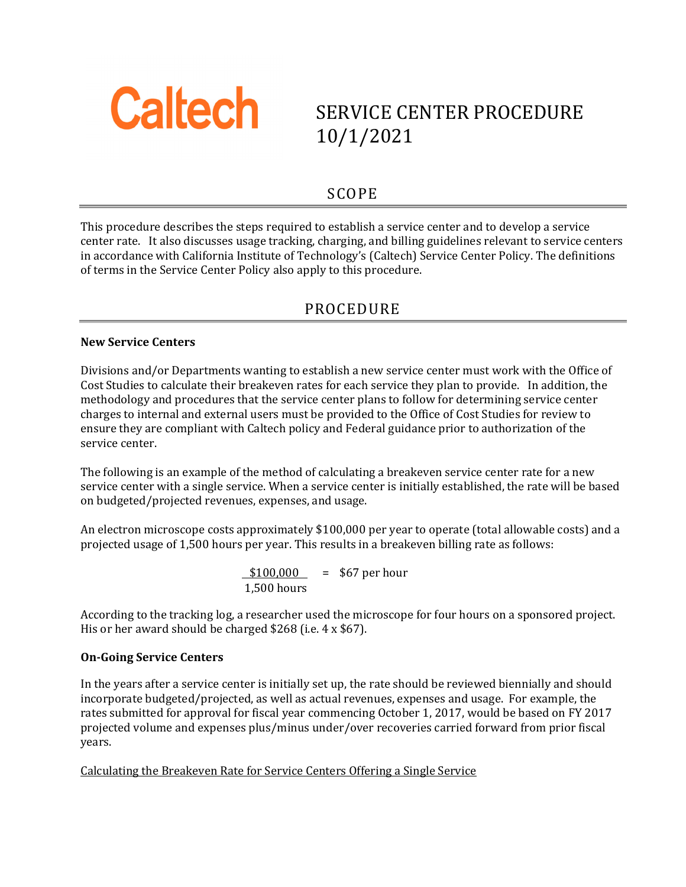

# SERVICE CENTER PROCEDURE 10/1/2021

### SCOPE

This procedure describes the steps required to establish a service center and to develop a service center rate. It also discusses usage tracking, charging, and billing guidelines relevant to service centers in accordance with California Institute of Technology's (Caltech) Service Center Policy. The definitions of terms in the Service Center Policy also apply to this procedure.

# PROCEDURE

#### **New Service Centers**

Divisions and/or Departments wanting to establish a new service center must work with the Office of Cost Studies to calculate their breakeven rates for each service they plan to provide. In addition, the methodology and procedures that the service center plans to follow for determining service center charges to internal and external users must be provided to the Office of Cost Studies for review to ensure they are compliant with Caltech policy and Federal guidance prior to authorization of the service center.

The following is an example of the method of calculating a breakeven service center rate for a new service center with a single service. When a service center is initially established, the rate will be based on budgeted/projected revenues, expenses, and usage.

An electron microscope costs approximately \$100,000 per year to operate (total allowable costs) and a projected usage of 1,500 hours per year. This results in a breakeven billing rate as follows:

> $$100,000 = $67$  per hour 1,500 hours

According to the tracking log, a researcher used the microscope for four hours on a sponsored project. His or her award should be charged \$268 (i.e. 4 x \$67).

#### **On‐Going Service Centers**

In the years after a service center is initially set up, the rate should be reviewed biennially and should incorporate budgeted/projected, as well as actual revenues, expenses and usage. For example, the rates submitted for approval for fiscal year commencing October 1, 2017, would be based on FY 2017 projected volume and expenses plus/minus under/over recoveries carried forward from prior fiscal years.

Calculating the Breakeven Rate for Service Centers Offering a Single Service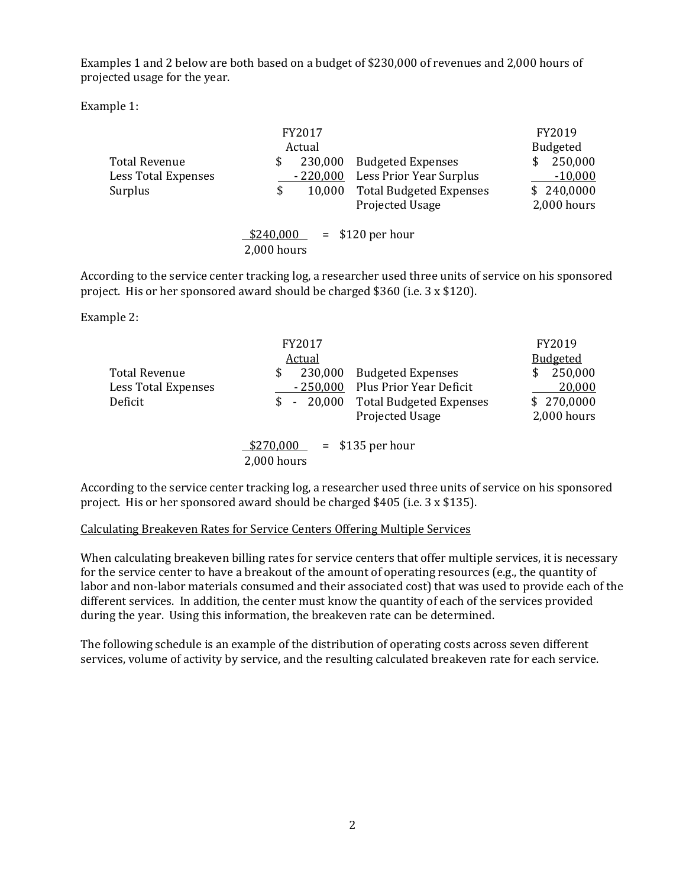Examples 1 and 2 below are both based on a budget of \$230,000 of revenues and 2,000 hours of projected usage for the year.

Example 1:

|                      |           | FY2017<br>Actual |                                | FY2019<br><b>Budgeted</b> |
|----------------------|-----------|------------------|--------------------------------|---------------------------|
| <b>Total Revenue</b> | \$        | 230,000          | <b>Budgeted Expenses</b>       | 250,000                   |
| Less Total Expenses  |           | $-220,000$       | Less Prior Year Surplus        | $-10,000$                 |
| Surplus              | \$        | 10,000           | <b>Total Budgeted Expenses</b> | \$240,0000                |
|                      |           |                  | Projected Usage                | 2,000 hours               |
|                      | \$240,000 |                  | $=$ \$120 per hour             |                           |

2,000 hours

According to the service center tracking log, a researcher used three units of service on his sponsored project. His or her sponsored award should be charged \$360 (i.e. 3 x \$120).

Example 2:

|                            | FY2017          |                                | FY2019          |  |  |
|----------------------------|-----------------|--------------------------------|-----------------|--|--|
|                            | Actual          |                                | <b>Budgeted</b> |  |  |
| Total Revenue              | 230,000<br>\$   | <b>Budgeted Expenses</b>       | 250,000<br>S    |  |  |
| <b>Less Total Expenses</b> | $-250,000$      | Plus Prior Year Deficit        | 20,000          |  |  |
| Deficit                    | 20,000<br>$S -$ | <b>Total Budgeted Expenses</b> | \$270,0000      |  |  |
|                            |                 | Projected Usage                | 2,000 hours     |  |  |
|                            | \$270,000       | $=$ \$135 per hour             |                 |  |  |
|                            | 2,000 hours     |                                |                 |  |  |

According to the service center tracking log, a researcher used three units of service on his sponsored project. His or her sponsored award should be charged \$405 (i.e. 3 x \$135).

#### Calculating Breakeven Rates for Service Centers Offering Multiple Services

When calculating breakeven billing rates for service centers that offer multiple services, it is necessary for the service center to have a breakout of the amount of operating resources (e.g., the quantity of labor and non-labor materials consumed and their associated cost) that was used to provide each of the different services. In addition, the center must know the quantity of each of the services provided during the year. Using this information, the breakeven rate can be determined.

The following schedule is an example of the distribution of operating costs across seven different services, volume of activity by service, and the resulting calculated breakeven rate for each service.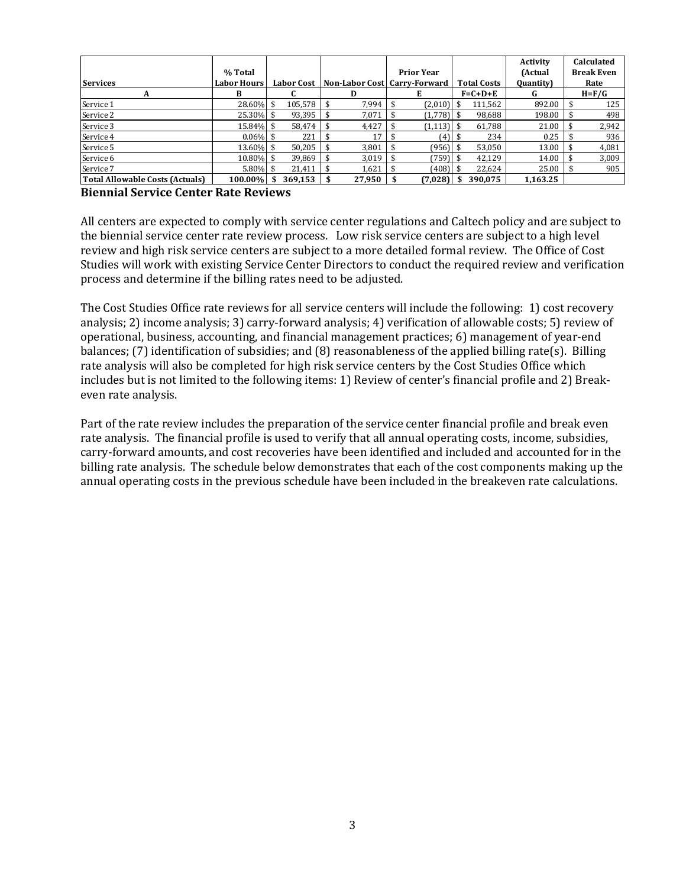|                                 | % Total            |                   |        | <b>Prior Year</b>              |                 |                    | Activity<br>(Actual | Calculated<br><b>Break Even</b> |  |  |   |           |
|---------------------------------|--------------------|-------------------|--------|--------------------------------|-----------------|--------------------|---------------------|---------------------------------|--|--|---|-----------|
| <b>Services</b>                 | <b>Labor Hours</b> | <b>Labor Cost</b> |        | Non-Labor Cost   Carry-Forward |                 | <b>Total Costs</b> | <b>Quantity</b>     | Rate                            |  |  |   |           |
| А                               | в                  |                   | D      | E                              | $F = C + D + E$ |                    |                     |                                 |  |  | G | $H = F/G$ |
| Service 1                       | 28.60% \$          | 105.578           | 7,994  | (2,010)                        |                 | 111,562            | 892.00              | 125                             |  |  |   |           |
| Service 2                       | 25.30% \$          | 93,395            | 7,071  | $(1,778)$ \$                   |                 | 98,688             | 198.00              | 498                             |  |  |   |           |
| Service 3                       | 15.84% \$          | 58.474            | 4,427  | $(1,113)$ \$                   |                 | 61,788             | 21.00               | 2,942                           |  |  |   |           |
| Service 4                       | $0.06\%$ \$        | 221               | 17     | (4)                            |                 | 234                | 0.25                | 936                             |  |  |   |           |
| Service 5                       | 13.60% \$          | 50,205            | 3,801  | $(956)$ \$                     |                 | 53,050             | 13.00               | 4,081                           |  |  |   |           |
| Service 6                       | 10.80% \$          | 39,869            | 3,019  | 759) \$                        |                 | 42,129             | 14.00               | 3,009                           |  |  |   |           |
| Service 7                       | $5.80\%$ \$        | 21,411            | 1,621  | (408) \$                       |                 | 22,624             | 25.00               | 905                             |  |  |   |           |
| Total Allowable Costs (Actuals) | 100.00%            | 369.153           | 27,950 | (7,028)                        |                 | 390.075            | 1.163.25            |                                 |  |  |   |           |

#### **Biennial Service Center Rate Reviews**

All centers are expected to comply with service center regulations and Caltech policy and are subject to the biennial service center rate review process. Low risk service centers are subject to a high level review and high risk service centers are subject to a more detailed formal review. The Office of Cost Studies will work with existing Service Center Directors to conduct the required review and verification process and determine if the billing rates need to be adjusted.

The Cost Studies Office rate reviews for all service centers will include the following: 1) cost recovery analysis; 2) income analysis; 3) carry-forward analysis; 4) verification of allowable costs; 5) review of operational, business, accounting, and financial management practices; 6) management of year-end balances; (7) identification of subsidies; and (8) reasonableness of the applied billing rate(s). Billing rate analysis will also be completed for high risk service centers by the Cost Studies Office which includes but is not limited to the following items: 1) Review of center's financial profile and 2) Breakeven rate analysis.

Part of the rate review includes the preparation of the service center financial profile and break even rate analysis. The financial profile is used to verify that all annual operating costs, income, subsidies, carry-forward amounts, and cost recoveries have been identified and included and accounted for in the billing rate analysis. The schedule below demonstrates that each of the cost components making up the annual operating costs in the previous schedule have been included in the breakeven rate calculations.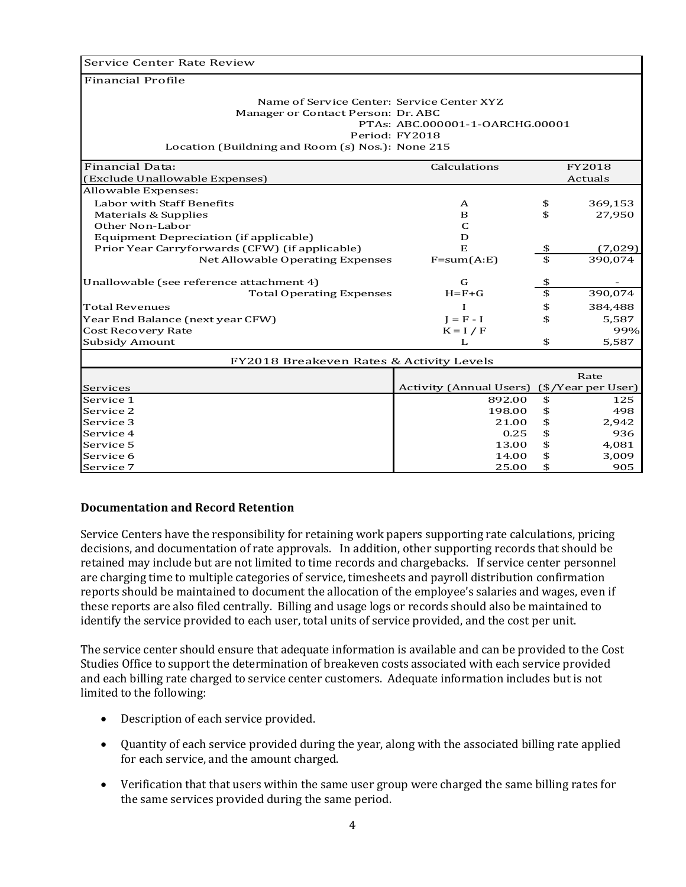Service Center Rate Review

Financial Profile

| Name of Service Center: Service Center XYZ<br>Manager or Contact Person: Dr. ABC<br>PTAs: ABC.000001-1-OARCHG.00001<br>Period: FY2018<br>Location (Buildning and Room (s) Nos.): None 215 |                                |    |                    |  |  |  |
|-------------------------------------------------------------------------------------------------------------------------------------------------------------------------------------------|--------------------------------|----|--------------------|--|--|--|
| <b>Financial Data:</b>                                                                                                                                                                    | Calculations                   |    | FY2018             |  |  |  |
| (Exclude Unallowable Expenses)                                                                                                                                                            |                                |    | Actuals            |  |  |  |
| Allowable Expenses:                                                                                                                                                                       |                                |    |                    |  |  |  |
| Labor with Staff Benefits                                                                                                                                                                 | A                              | \$ | 369,153            |  |  |  |
| Materials & Supplies                                                                                                                                                                      | B                              | \$ | 27,950             |  |  |  |
| Other Non-Labor                                                                                                                                                                           | C                              |    |                    |  |  |  |
| Equipment Depreciation (if applicable)                                                                                                                                                    | D                              |    |                    |  |  |  |
| Prior Year Carryforwards (CFW) (if applicable)                                                                                                                                            | E                              | \$ | (7,029)            |  |  |  |
| Net Allowable Operating Expenses                                                                                                                                                          | $F=sum(A:E)$                   | \$ | 390,074            |  |  |  |
| Unallowable (see reference attachment 4)                                                                                                                                                  | G                              | \$ |                    |  |  |  |
| <b>Total Operating Expenses</b>                                                                                                                                                           | $H = F + G$                    | \$ | 390,074            |  |  |  |
| <b>Total Revenues</b>                                                                                                                                                                     |                                | \$ | 384,488            |  |  |  |
| Year End Balance (next year CFW)                                                                                                                                                          | $I = F - I$                    | \$ | 5,587              |  |  |  |
| <b>Cost Recovery Rate</b>                                                                                                                                                                 | $K = I / F$                    |    | 99%                |  |  |  |
| <b>Subsidy Amount</b>                                                                                                                                                                     | L                              | \$ | 5,587              |  |  |  |
| FY2018 Breakeven Rates & Activity Levels                                                                                                                                                  |                                |    |                    |  |  |  |
|                                                                                                                                                                                           |                                |    | Rate               |  |  |  |
| Services                                                                                                                                                                                  | <b>Activity (Annual Users)</b> |    | (\$/Year per User) |  |  |  |
| Service 1                                                                                                                                                                                 | 892.00                         | \$ | 125                |  |  |  |
| Service 2                                                                                                                                                                                 | 198.00                         | \$ | 498                |  |  |  |
| Service 3                                                                                                                                                                                 | 21.00                          | \$ | 2,942              |  |  |  |
| Service 4                                                                                                                                                                                 | 0.25                           | \$ | 936                |  |  |  |
| Service 5                                                                                                                                                                                 | 13.00                          | \$ | 4,081              |  |  |  |
| Service 6                                                                                                                                                                                 | 14.00                          | \$ | 3,009              |  |  |  |
| Service 7                                                                                                                                                                                 | 25.00                          | \$ | 905                |  |  |  |

#### **Documentation and Record Retention**

Service Centers have the responsibility for retaining work papers supporting rate calculations, pricing decisions, and documentation of rate approvals. In addition, other supporting records that should be retained may include but are not limited to time records and chargebacks. If service center personnel are charging time to multiple categories of service, timesheets and payroll distribution confirmation reports should be maintained to document the allocation of the employee's salaries and wages, even if these reports are also filed centrally. Billing and usage logs or records should also be maintained to identify the service provided to each user, total units of service provided, and the cost per unit.

The service center should ensure that adequate information is available and can be provided to the Cost Studies Office to support the determination of breakeven costs associated with each service provided and each billing rate charged to service center customers. Adequate information includes but is not limited to the following:

- Description of each service provided.
- Quantity of each service provided during the year, along with the associated billing rate applied for each service, and the amount charged.
- Verification that that users within the same user group were charged the same billing rates for the same services provided during the same period.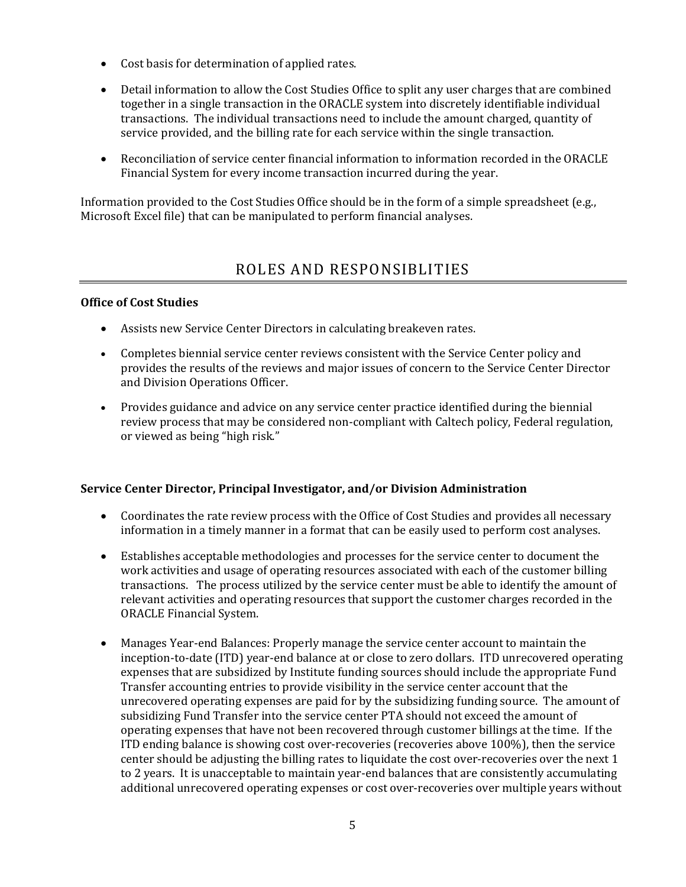- Cost basis for determination of applied rates.
- Detail information to allow the Cost Studies Office to split any user charges that are combined together in a single transaction in the ORACLE system into discretely identifiable individual transactions. The individual transactions need to include the amount charged, quantity of service provided, and the billing rate for each service within the single transaction.
- Reconciliation of service center financial information to information recorded in the ORACLE Financial System for every income transaction incurred during the year.

Information provided to the Cost Studies Office should be in the form of a simple spreadsheet (e.g., Microsoft Excel file) that can be manipulated to perform financial analyses.

## ROLES AND RESPONSIBLITIES

#### **Office of Cost Studies**

- Assists new Service Center Directors in calculating breakeven rates.
- Completes biennial service center reviews consistent with the Service Center policy and provides the results of the reviews and major issues of concern to the Service Center Director and Division Operations Officer.
- Provides guidance and advice on any service center practice identified during the biennial review process that may be considered non-compliant with Caltech policy, Federal regulation, or viewed as being "high risk."

#### **Service Center Director, Principal Investigator, and/or Division Administration**

- Coordinates the rate review process with the Office of Cost Studies and provides all necessary information in a timely manner in a format that can be easily used to perform cost analyses.
- Establishes acceptable methodologies and processes for the service center to document the work activities and usage of operating resources associated with each of the customer billing transactions. The process utilized by the service center must be able to identify the amount of relevant activities and operating resources that support the customer charges recorded in the ORACLE Financial System.
- Manages Year-end Balances: Properly manage the service center account to maintain the inception-to-date (ITD) year-end balance at or close to zero dollars. ITD unrecovered operating expenses that are subsidized by Institute funding sources should include the appropriate Fund Transfer accounting entries to provide visibility in the service center account that the unrecovered operating expenses are paid for by the subsidizing funding source. The amount of subsidizing Fund Transfer into the service center PTA should not exceed the amount of operating expenses that have not been recovered through customer billings at the time. If the ITD ending balance is showing cost over-recoveries (recoveries above 100%), then the service center should be adjusting the billing rates to liquidate the cost over-recoveries over the next 1 to 2 years. It is unacceptable to maintain year-end balances that are consistently accumulating additional unrecovered operating expenses or cost over-recoveries over multiple years without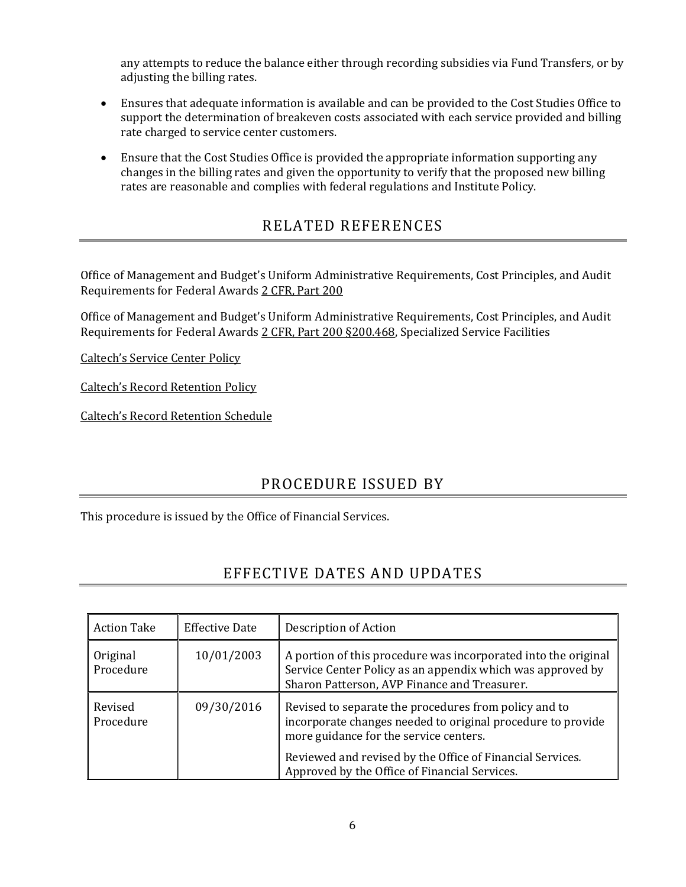any attempts to reduce the balance either through recording subsidies via Fund Transfers, or by adjusting the billing rates.

- Ensures that adequate information is available and can be provided to the Cost Studies Office to support the determination of breakeven costs associated with each service provided and billing rate charged to service center customers.
- Ensure that the Cost Studies Office is provided the appropriate information supporting any changes in the billing rates and given the opportunity to verify that the proposed new billing rates are reasonable and complies with federal regulations and Institute Policy.

## RELATED REFERENCES

Office of Management and Budget's Uniform Administrative Requirements, Cost Principles, and Audit Requirements for Federal Awards 2 CFR, Part 200

Office of Management and Budget's Uniform Administrative Requirements, Cost Principles, and Audit Requirements for Federal Awards 2 CFR, Part 200 §200.468, Specialized Service Facilities

Caltech's Service Center Policy

Caltech's Record Retention Policy

Caltech's Record Retention Schedule

### PROCEDURE ISSUED BY

This procedure is issued by the Office of Financial Services.

## EFFECTIVE DATES AND UPDATES

| <b>Action Take</b>    | <b>Effective Date</b> | Description of Action                                                                                                                                                                                                       |
|-----------------------|-----------------------|-----------------------------------------------------------------------------------------------------------------------------------------------------------------------------------------------------------------------------|
| Original<br>Procedure | 10/01/2003            | A portion of this procedure was incorporated into the original<br>Service Center Policy as an appendix which was approved by<br>Sharon Patterson, AVP Finance and Treasurer.                                                |
| Revised<br>Procedure  | 09/30/2016            | Revised to separate the procedures from policy and to<br>incorporate changes needed to original procedure to provide<br>more guidance for the service centers.<br>Reviewed and revised by the Office of Financial Services. |
|                       |                       | Approved by the Office of Financial Services.                                                                                                                                                                               |